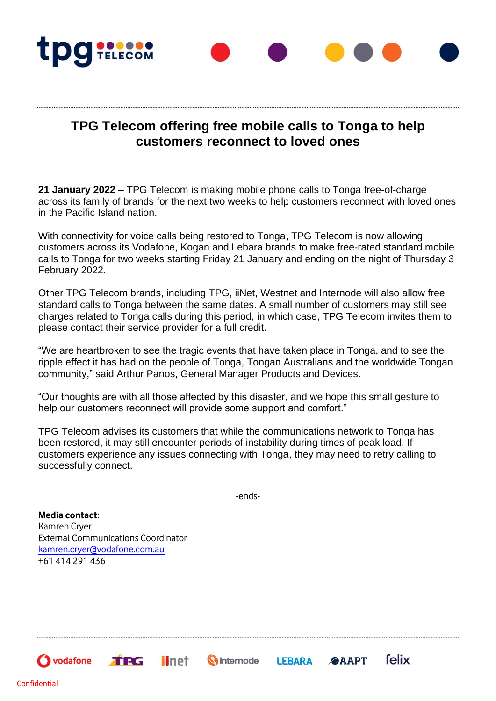

## **TPG Telecom offering free mobile calls to Tonga to help customers reconnect to loved ones**

**21 January 2022 –** TPG Telecom is making mobile phone calls to Tonga free-of-charge across its family of brands for the next two weeks to help customers reconnect with loved ones in the Pacific Island nation.

With connectivity for voice calls being restored to Tonga, TPG Telecom is now allowing customers across its Vodafone, Kogan and Lebara brands to make free-rated standard mobile calls to Tonga for two weeks starting Friday 21 January and ending on the night of Thursday 3 February 2022.

Other TPG Telecom brands, including TPG, iiNet, Westnet and Internode will also allow free standard calls to Tonga between the same dates. A small number of customers may still see charges related to Tonga calls during this period, in which case, TPG Telecom invites them to please contact their service provider for a full credit.

"We are heartbroken to see the tragic events that have taken place in Tonga, and to see the ripple effect it has had on the people of Tonga, Tongan Australians and the worldwide Tongan community," said Arthur Panos, General Manager Products and Devices.

"Our thoughts are with all those affected by this disaster, and we hope this small gesture to help our customers reconnect will provide some support and comfort."

TPG Telecom advises its customers that while the communications network to Tonga has been restored, it may still encounter periods of instability during times of peak load. If customers experience any issues connecting with Tonga, they may need to retry calling to successfully connect.

-ends-

**Q** Internode

felix

**@AAPT** 

**LEBARA** 

**Media contact**: Kamren Cryer External Communications Coordinator [kamren.cryer@vodafone.com.au](mailto:kamren.cryer@vodafone.com.au) +61 414 291 436

TRG

*iinet* 

 $\bigcirc$  vodafone